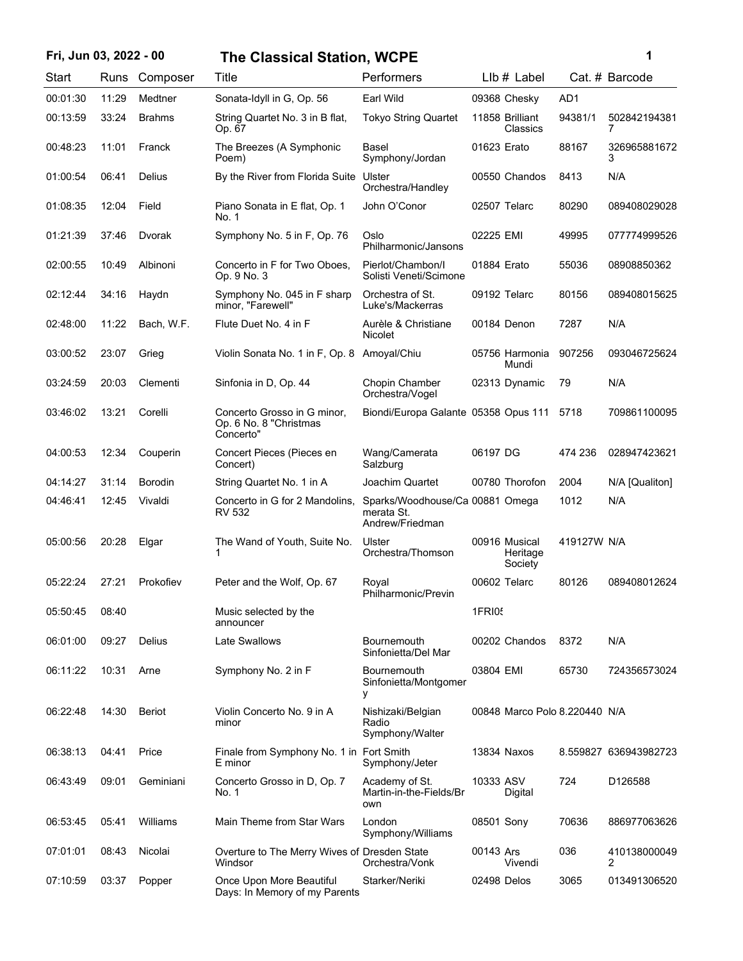## **Fri, Jun 03, 2022 - 00 1 The Classical Station, WCPE**

| ï<br>I |  |
|--------|--|
|        |  |

| Start    | Runs  | Composer       | Title                                                              | Performers                                                       |                 | $Llb#$ Label                         |             | Cat. # Barcode        |
|----------|-------|----------------|--------------------------------------------------------------------|------------------------------------------------------------------|-----------------|--------------------------------------|-------------|-----------------------|
| 00:01:30 | 11:29 | Medtner        | Sonata-Idyll in G, Op. 56                                          | Earl Wild                                                        | 09368 Chesky    |                                      | AD1         |                       |
| 00:13:59 | 33:24 | <b>Brahms</b>  | String Quartet No. 3 in B flat,<br>Op. 67                          | <b>Tokyo String Quartet</b>                                      | 11858 Brilliant | Classics                             | 94381/1     | 502842194381<br>7     |
| 00:48:23 | 11:01 | Franck         | The Breezes (A Symphonic<br>Poem)                                  | Basel<br>Symphony/Jordan                                         | 01623 Erato     |                                      | 88167       | 326965881672<br>3     |
| 01:00:54 | 06:41 | Delius         | By the River from Florida Suite                                    | Ulster<br>Orchestra/Handley                                      |                 | 00550 Chandos                        | 8413        | N/A                   |
| 01:08:35 | 12:04 | Field          | Piano Sonata in E flat, Op. 1<br>No. 1                             | John O'Conor                                                     | 02507 Telarc    |                                      | 80290       | 089408029028          |
| 01:21:39 | 37:46 | Dvorak         | Symphony No. 5 in F, Op. 76                                        | Oslo<br>Philharmonic/Jansons                                     | 02225 EMI       |                                      | 49995       | 077774999526          |
| 02:00:55 | 10:49 | Albinoni       | Concerto in F for Two Oboes,<br>Op. 9 No. 3                        | Pierlot/Chambon/I<br>Solisti Veneti/Scimone                      | 01884 Erato     |                                      | 55036       | 08908850362           |
| 02:12:44 | 34:16 | Haydn          | Symphony No. 045 in F sharp<br>minor, "Farewell"                   | Orchestra of St.<br>Luke's/Mackerras                             | 09192 Telarc    |                                      | 80156       | 089408015625          |
| 02:48:00 | 11:22 | Bach, W.F.     | Flute Duet No. 4 in F                                              | Aurèle & Christiane<br><b>Nicolet</b>                            | 00184 Denon     |                                      | 7287        | N/A                   |
| 03:00:52 | 23:07 | Grieg          | Violin Sonata No. 1 in F, Op. 8 Amoyal/Chiu                        |                                                                  |                 | 05756 Harmonia<br>Mundi              | 907256      | 093046725624          |
| 03:24:59 | 20:03 | Clementi       | Sinfonia in D, Op. 44                                              | Chopin Chamber<br>Orchestra/Vogel                                |                 | 02313 Dynamic                        | 79          | N/A                   |
| 03:46:02 | 13:21 | Corelli        | Concerto Grosso in G minor,<br>Op. 6 No. 8 "Christmas<br>Concerto" | Biondi/Europa Galante 05358 Opus 111                             |                 |                                      | 5718        | 709861100095          |
| 04:00:53 | 12:34 | Couperin       | Concert Pieces (Pieces en<br>Concert)                              | Wang/Camerata<br>Salzburg                                        | 06197 DG        |                                      | 474 236     | 028947423621          |
| 04:14:27 | 31:14 | <b>Borodin</b> | String Quartet No. 1 in A                                          | Joachim Quartet                                                  |                 | 00780 Thorofon                       | 2004        | N/A [Qualiton]        |
| 04:46:41 | 12:45 | Vivaldi        | Concerto in G for 2 Mandolins,<br>RV 532                           | Sparks/Woodhouse/Ca 00881 Omega<br>merata St.<br>Andrew/Friedman |                 |                                      | 1012        | N/A                   |
| 05:00:56 | 20:28 | Elgar          | The Wand of Youth, Suite No.<br>1                                  | Ulster<br>Orchestra/Thomson                                      |                 | 00916 Musical<br>Heritage<br>Society | 419127W N/A |                       |
| 05:22:24 | 27:21 | Prokofiev      | Peter and the Wolf, Op. 67                                         | Royal<br>Philharmonic/Previn                                     | 00602 Telarc    |                                      | 80126       | 089408012624          |
| 05:50:45 | 08:40 |                | Music selected by the<br>announcer                                 |                                                                  | 1FRI05          |                                      |             |                       |
| 06:01:00 | 09:27 | Delius         | Late Swallows                                                      | Bournemouth<br>Sinfonietta/Del Mar                               |                 | 00202 Chandos                        | 8372        | N/A                   |
| 06:11:22 | 10:31 | Arne           | Symphony No. 2 in F                                                | <b>Bournemouth</b><br>Sinfonietta/Montgomer<br>у                 | 03804 EMI       |                                      | 65730       | 724356573024          |
| 06:22:48 | 14:30 | <b>Beriot</b>  | Violin Concerto No. 9 in A<br>minor                                | Nishizaki/Belgian<br>Radio<br>Symphony/Walter                    |                 | 00848 Marco Polo 8.220440 N/A        |             |                       |
| 06:38:13 | 04:41 | Price          | Finale from Symphony No. 1 in Fort Smith<br>E minor                | Symphony/Jeter                                                   | 13834 Naxos     |                                      |             | 8.559827 636943982723 |
| 06:43:49 | 09:01 | Geminiani      | Concerto Grosso in D, Op. 7<br>No. 1                               | Academy of St.<br>Martin-in-the-Fields/Br<br>own                 | 10333 ASV       | Digital                              | 724         | D126588               |
| 06:53:45 | 05:41 | Williams       | Main Theme from Star Wars                                          | London<br>Symphony/Williams                                      | 08501 Sony      |                                      | 70636       | 886977063626          |
| 07:01:01 | 08:43 | Nicolai        | Overture to The Merry Wives of Dresden State<br>Windsor            | Orchestra/Vonk                                                   | 00143 Ars       | Vivendi                              | 036         | 410138000049<br>2     |
| 07:10:59 | 03:37 | Popper         | Once Upon More Beautiful<br>Days: In Memory of my Parents          | Starker/Neriki                                                   | 02498 Delos     |                                      | 3065        | 013491306520          |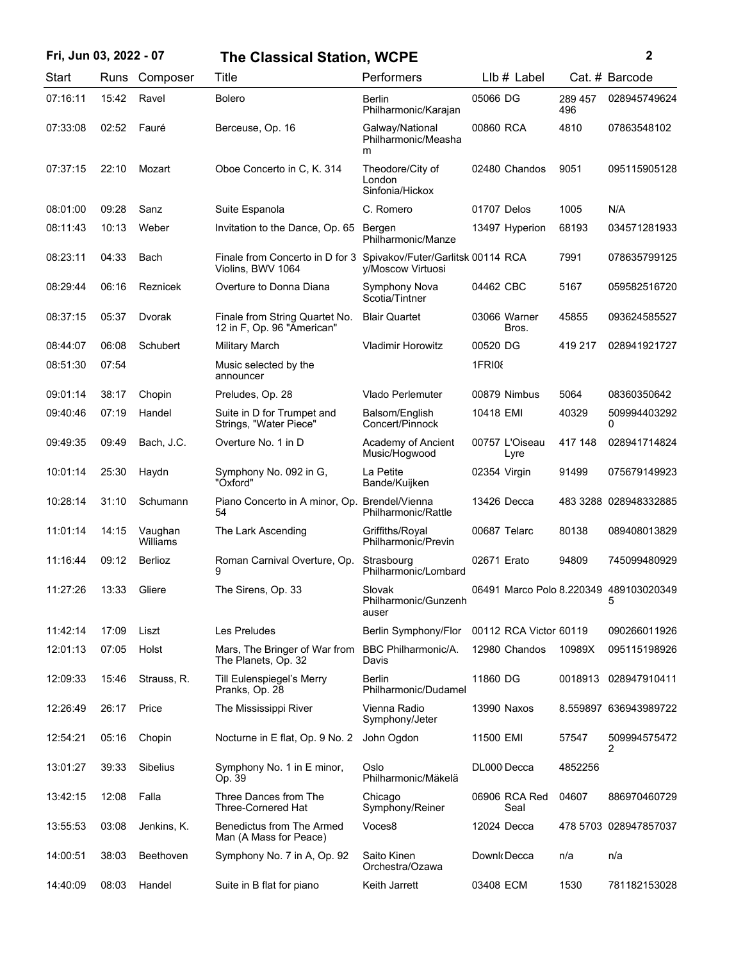| Fri, Jun 03, 2022 - 07 |       |                     | <b>The Classical Station, WCPE</b>                           |                                                        |               |                        |                | 2                                           |
|------------------------|-------|---------------------|--------------------------------------------------------------|--------------------------------------------------------|---------------|------------------------|----------------|---------------------------------------------|
| Start                  |       | Runs Composer       | Title                                                        | Performers                                             |               | $Llb \#$ Label         |                | Cat. # Barcode                              |
| 07:16:11               | 15:42 | Ravel               | <b>Bolero</b>                                                | <b>Berlin</b><br>Philharmonic/Karajan                  | 05066 DG      |                        | 289 457<br>496 | 028945749624                                |
| 07:33:08               | 02:52 | Fauré               | Berceuse, Op. 16                                             | Galway/National<br>Philharmonic/Measha<br>m            | 00860 RCA     |                        | 4810           | 07863548102                                 |
| 07:37:15               | 22:10 | Mozart              | Oboe Concerto in C, K, 314                                   | Theodore/City of<br>London<br>Sinfonia/Hickox          |               | 02480 Chandos          | 9051           | 095115905128                                |
| 08:01:00               | 09:28 | Sanz                | Suite Espanola                                               | C. Romero                                              | 01707 Delos   |                        | 1005           | N/A                                         |
| 08:11:43               | 10:13 | Weber               | Invitation to the Dance, Op. 65                              | Bergen<br>Philharmonic/Manze                           |               | 13497 Hyperion         | 68193          | 034571281933                                |
| 08:23:11               | 04:33 | Bach                | Finale from Concerto in D for 3<br>Violins, BWV 1064         | Spivakov/Futer/Garlitsk 00114 RCA<br>y/Moscow Virtuosi |               |                        | 7991           | 078635799125                                |
| 08:29:44               | 06:16 | Reznicek            | Overture to Donna Diana                                      | Symphony Nova<br>Scotia/Tintner                        | 04462 CBC     |                        | 5167           | 059582516720                                |
| 08:37:15               | 05:37 | Dvorak              | Finale from String Quartet No.<br>12 in F, Op. 96 "American" | <b>Blair Quartet</b>                                   | 03066 Warner  | Bros.                  | 45855          | 093624585527                                |
| 08:44:07               | 06:08 | Schubert            | <b>Military March</b>                                        | <b>Vladimir Horowitz</b>                               | 00520 DG      |                        | 419 217        | 028941921727                                |
| 08:51:30               | 07:54 |                     | Music selected by the<br>announcer                           |                                                        | <b>1FRI08</b> |                        |                |                                             |
| 09:01:14               | 38:17 | Chopin              | Preludes, Op. 28                                             | Vlado Perlemuter                                       | 00879 Nimbus  |                        | 5064           | 08360350642                                 |
| 09:40:46               | 07:19 | Handel              | Suite in D for Trumpet and<br>Strings, "Water Piece"         | Balsom/English<br>Concert/Pinnock                      | 10418 EMI     |                        | 40329          | 509994403292<br>0                           |
| 09:49:35               | 09:49 | Bach, J.C.          | Overture No. 1 in D                                          | Academy of Ancient<br>Music/Hogwood                    |               | 00757 L'Oiseau<br>Lyre | 417 148        | 028941714824                                |
| 10:01:14               | 25:30 | Haydn               | Symphony No. 092 in G,<br>"Oxford"                           | La Petite<br>Bande/Kuijken                             | 02354 Virgin  |                        | 91499          | 075679149923                                |
| 10:28:14               | 31:10 | Schumann            | Piano Concerto in A minor, Op.<br>54                         | Brendel/Vienna<br>Philharmonic/Rattle                  | 13426 Decca   |                        |                | 483 3288 028948332885                       |
| 11:01:14               | 14:15 | Vaughan<br>Williams | The Lark Ascending                                           | Griffiths/Royal<br>Philharmonic/Previn                 | 00687 Telarc  |                        | 80138          | 089408013829                                |
| 11:16:44               | 09:12 | <b>Berlioz</b>      | Roman Carnival Overture, Op.<br>9                            | Strasbourg<br>Philharmonic/Lombard                     | 02671 Erato   |                        | 94809          | 745099480929                                |
| 11:27:26               | 13:33 | Gliere              | The Sirens, Op. 33                                           | Slovak<br>Philharmonic/Gunzenh<br>auser                |               |                        |                | 06491 Marco Polo 8.220349 489103020349<br>5 |
| 11:42:14               | 17:09 | Liszt               | Les Preludes                                                 | Berlin Symphony/Flor                                   |               | 00112 RCA Victor 60119 |                | 090266011926                                |
| 12:01:13               | 07:05 | Holst               | Mars, The Bringer of War from<br>The Planets, Op. 32         | <b>BBC Philharmonic/A.</b><br>Davis                    |               | 12980 Chandos          | 10989X         | 095115198926                                |
| 12:09:33               | 15:46 | Strauss, R.         | Till Eulenspiegel's Merry<br>Pranks, Op. 28                  | <b>Berlin</b><br>Philharmonic/Dudamel                  | 11860 DG      |                        |                | 0018913 028947910411                        |
| 12:26:49               | 26:17 | Price               | The Mississippi River                                        | Vienna Radio<br>Symphony/Jeter                         | 13990 Naxos   |                        |                | 8.559897 636943989722                       |
| 12:54:21               | 05:16 | Chopin              | Nocturne in E flat, Op. 9 No. 2                              | John Ogdon                                             | 11500 EMI     |                        | 57547          | 509994575472<br>2                           |
| 13:01:27               | 39:33 | Sibelius            | Symphony No. 1 in E minor,<br>Op. 39                         | Oslo<br>Philharmonic/Mäkelä                            | DL000 Decca   |                        | 4852256        |                                             |
| 13:42:15               | 12:08 | Falla               | Three Dances from The<br>Three-Cornered Hat                  | Chicago<br>Symphony/Reiner                             |               | 06906 RCA Red<br>Seal  | 04607          | 886970460729                                |
| 13:55:53               | 03:08 | Jenkins, K.         | Benedictus from The Armed<br>Man (A Mass for Peace)          | Voces8                                                 | 12024 Decca   |                        |                | 478 5703 028947857037                       |
| 14:00:51               | 38:03 | Beethoven           | Symphony No. 7 in A, Op. 92                                  | Saito Kinen<br>Orchestra/Ozawa                         | Downk Decca   |                        | n/a            | n/a                                         |
| 14:40:09               | 08:03 | Handel              | Suite in B flat for piano                                    | Keith Jarrett                                          | 03408 ECM     |                        | 1530           | 781182153028                                |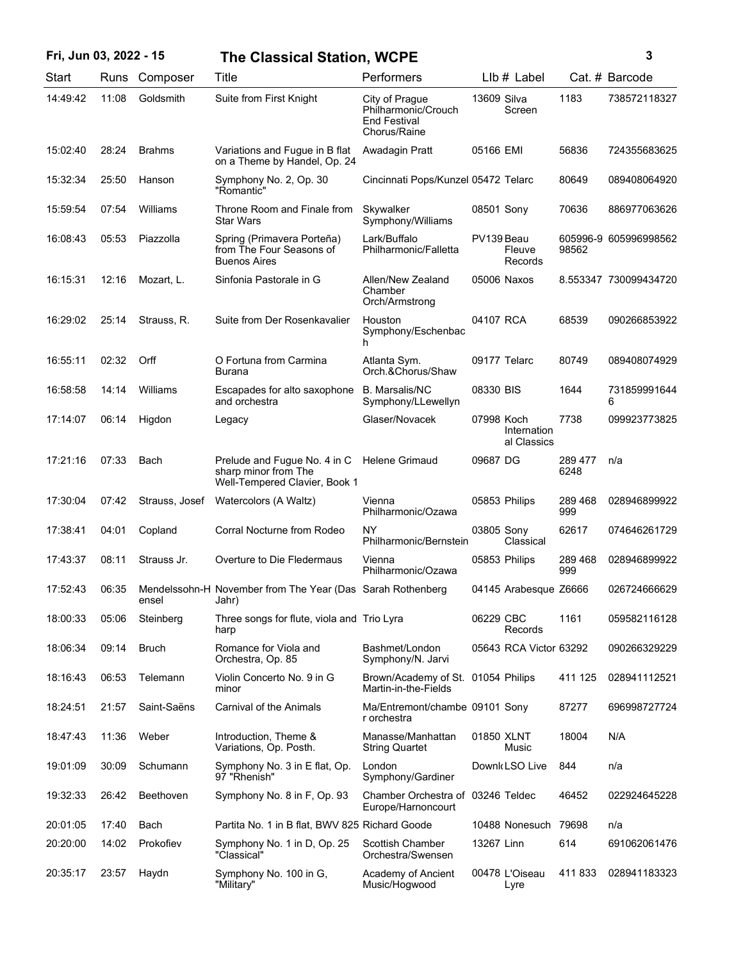| Fri, Jun 03, 2022 - 15 |       |                | <b>The Classical Station, WCPE</b>                                                    |                                                                              |             |                            |                 | 3                     |
|------------------------|-------|----------------|---------------------------------------------------------------------------------------|------------------------------------------------------------------------------|-------------|----------------------------|-----------------|-----------------------|
| Start                  |       | Runs Composer  | Title                                                                                 | Performers                                                                   |             | LIb # Label                |                 | Cat. # Barcode        |
| 14:49:42               | 11:08 | Goldsmith      | Suite from First Knight                                                               | City of Prague<br>Philharmonic/Crouch<br><b>End Festival</b><br>Chorus/Raine | 13609 Silva | Screen                     | 1183            | 738572118327          |
| 15:02:40               | 28:24 | <b>Brahms</b>  | Variations and Fugue in B flat<br>on a Theme by Handel, Op. 24                        | Awadagin Pratt                                                               | 05166 EMI   |                            | 56836           | 724355683625          |
| 15:32:34               | 25:50 | Hanson         | Symphony No. 2, Op. 30<br>"Romantic"                                                  | Cincinnati Pops/Kunzel 05472 Telarc                                          |             |                            | 80649           | 089408064920          |
| 15:59:54               | 07:54 | Williams       | Throne Room and Finale from<br><b>Star Wars</b>                                       | Skywalker<br>Symphony/Williams                                               | 08501 Sony  |                            | 70636           | 886977063626          |
| 16:08:43               | 05:53 | Piazzolla      | Spring (Primavera Porteña)<br>from The Four Seasons of<br><b>Buenos Aires</b>         | Lark/Buffalo<br>Philharmonic/Falletta                                        | PV139 Beau  | Fleuve<br>Records          | 98562           | 605996-9 605996998562 |
| 16:15:31               | 12:16 | Mozart, L.     | Sinfonia Pastorale in G                                                               | Allen/New Zealand<br>Chamber<br>Orch/Armstrong                               |             | 05006 Naxos                |                 | 8.553347 730099434720 |
| 16:29:02               | 25:14 | Strauss, R.    | Suite from Der Rosenkavalier                                                          | Houston<br>Symphony/Eschenbac<br>h.                                          | 04107 RCA   |                            | 68539           | 090266853922          |
| 16:55:11               | 02:32 | Orff           | O Fortuna from Carmina<br>Burana                                                      | Atlanta Sym.<br>Orch.&Chorus/Shaw                                            |             | 09177 Telarc               | 80749           | 089408074929          |
| 16:58:58               | 14:14 | Williams       | Escapades for alto saxophone<br>and orchestra                                         | <b>B.</b> Marsalis/NC<br>Symphony/LLewellyn                                  | 08330 BIS   |                            | 1644            | 731859991644<br>6     |
| 17:14:07               | 06:14 | Higdon         | Legacy                                                                                | Glaser/Novacek                                                               | 07998 Koch  | Internation<br>al Classics | 7738            | 099923773825          |
| 17:21:16               | 07:33 | Bach           | Prelude and Fugue No. 4 in C<br>sharp minor from The<br>Well-Tempered Clavier, Book 1 | <b>Helene Grimaud</b>                                                        | 09687 DG    |                            | 289 477<br>6248 | n/a                   |
| 17:30:04               | 07:42 | Strauss, Josef | Watercolors (A Waltz)                                                                 | Vienna<br>Philharmonic/Ozawa                                                 |             | 05853 Philips              | 289 468<br>999  | 028946899922          |
| 17:38:41               | 04:01 | Copland        | Corral Nocturne from Rodeo                                                            | <b>NY</b><br>Philharmonic/Bernstein                                          | 03805 Sony  | Classical                  | 62617           | 074646261729          |
| 17:43:37               | 08:11 | Strauss Jr.    | Overture to Die Fledermaus                                                            | Vienna<br>Philharmonic/Ozawa                                                 |             | 05853 Philips              | 289 468<br>999  | 028946899922          |
| 17:52:43               | 06:35 | ensel          | Mendelssohn-H November from The Year (Das Sarah Rothenberg<br>Jahr)                   |                                                                              |             | 04145 Arabesque Z6666      |                 | 026724666629          |
| 18:00:33               | 05:06 | Steinberg      | Three songs for flute, viola and Trio Lyra<br>harp                                    |                                                                              | 06229 CBC   | Records                    | 1161            | 059582116128          |
| 18:06:34               | 09:14 | <b>Bruch</b>   | Romance for Viola and<br>Orchestra, Op. 85                                            | Bashmet/London<br>Symphony/N. Jarvi                                          |             | 05643 RCA Victor 63292     |                 | 090266329229          |
| 18:16:43               | 06:53 | Telemann       | Violin Concerto No. 9 in G<br>minor                                                   | Brown/Academy of St. 01054 Philips<br>Martin-in-the-Fields                   |             |                            | 411 125         | 028941112521          |
| 18:24:51               | 21:57 | Saint-Saëns    | <b>Carnival of the Animals</b>                                                        | Ma/Entremont/chambe 09101 Sony<br>r orchestra                                |             |                            | 87277           | 696998727724          |
| 18:47:43               | 11:36 | Weber          | Introduction, Theme &<br>Variations, Op. Posth.                                       | Manasse/Manhattan<br><b>String Quartet</b>                                   | 01850 XLNT  | Music                      | 18004           | N/A                   |
| 19:01:09               | 30:09 | Schumann       | Symphony No. 3 in E flat, Op.<br>97 "Rhenish"                                         | London<br>Symphony/Gardiner                                                  |             | Downk LSO Live             | 844             | n/a                   |
| 19:32:33               | 26:42 | Beethoven      | Symphony No. 8 in F, Op. 93                                                           | Chamber Orchestra of 03246 Teldec<br>Europe/Harnoncourt                      |             |                            | 46452           | 022924645228          |
| 20:01:05               | 17:40 | Bach           | Partita No. 1 in B flat, BWV 825 Richard Goode                                        |                                                                              |             | 10488 Nonesuch             | 79698           | n/a                   |
| 20:20:00               | 14:02 | Prokofiev      | Symphony No. 1 in D, Op. 25<br>"Classical"                                            | Scottish Chamber<br>Orchestra/Swensen                                        | 13267 Linn  |                            | 614             | 691062061476          |
| 20:35:17               | 23:57 | Haydn          | Symphony No. 100 in G.<br>"Military"                                                  | Academy of Ancient<br>Music/Hogwood                                          |             | 00478 L'Oiseau<br>Lyre     | 411833          | 028941183323          |